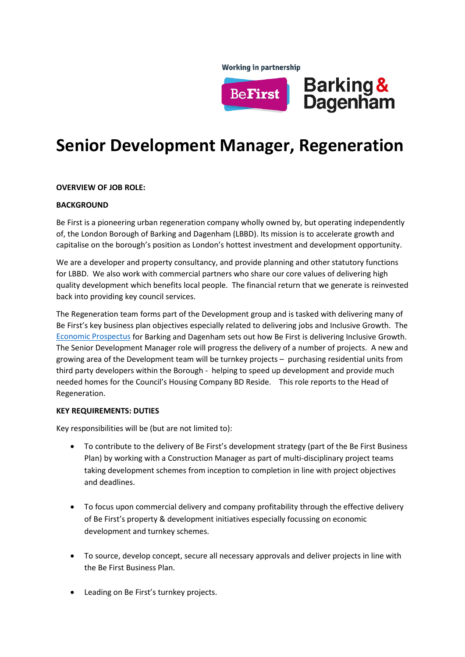**Working in partnership** 



# **Senior Development Manager, Regeneration**

## **OVERVIEW OF JOB ROLE:**

### **BACKGROUND**

Be First is a pioneering urban regeneration company wholly owned by, but operating independently of, the London Borough of Barking and Dagenham (LBBD). Its mission is to accelerate growth and capitalise on the borough's position as London's hottest investment and development opportunity.

We are a developer and property consultancy, and provide planning and other statutory functions for LBBD. We also work with commercial partners who share our core values of delivering high quality development which benefits local people. The financial return that we generate is reinvested back into providing key council services.

The Regeneration team forms part of the Development group and is tasked with delivering many of Be First's key business plan objectives especially related to delivering jobs and Inclusive Growth. The [Economic Prospectus](https://online.pubhtml5.com/prck/wizy/#p=1) for Barking and Dagenham sets out how Be First is delivering Inclusive Growth. The Senior Development Manager role will progress the delivery of a number of projects. A new and growing area of the Development team will be turnkey projects – purchasing residential units from third party developers within the Borough - helping to speed up development and provide much needed homes for the Council's Housing Company BD Reside. This role reports to the Head of Regeneration.

#### **KEY REQUIREMENTS: DUTIES**

Key responsibilities will be (but are not limited to):

- To contribute to the delivery of Be First's development strategy (part of the Be First Business Plan) by working with a Construction Manager as part of multi-disciplinary project teams taking development schemes from inception to completion in line with project objectives and deadlines.
- To focus upon commercial delivery and company profitability through the effective delivery of Be First's property & development initiatives especially focussing on economic development and turnkey schemes.
- To source, develop concept, secure all necessary approvals and deliver projects in line with the Be First Business Plan.
- Leading on Be First's turnkey projects.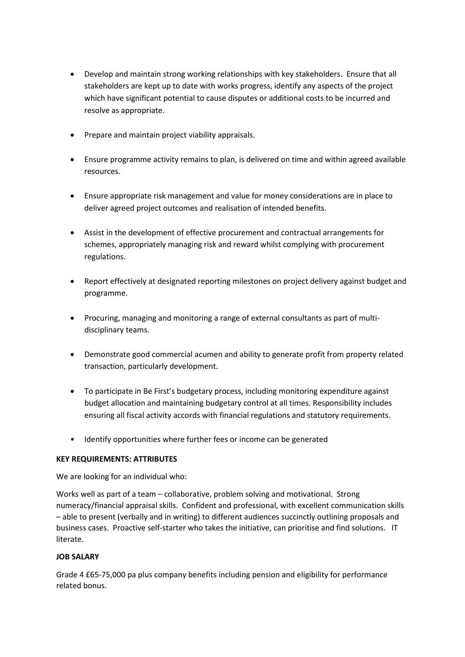- Develop and maintain strong working relationships with key stakeholders. Ensure that all stakeholders are kept up to date with works progress, identify any aspects of the project which have significant potential to cause disputes or additional costs to be incurred and resolve as appropriate.
- Prepare and maintain project viability appraisals.
- Ensure programme activity remains to plan, is delivered on time and within agreed available resources.
- Ensure appropriate risk management and value for money considerations are in place to deliver agreed project outcomes and realisation of intended benefits.
- Assist in the development of effective procurement and contractual arrangements for schemes, appropriately managing risk and reward whilst complying with procurement regulations.
- Report effectively at designated reporting milestones on project delivery against budget and programme.
- Procuring, managing and monitoring a range of external consultants as part of multidisciplinary teams.
- Demonstrate good commercial acumen and ability to generate profit from property related transaction, particularly development.
- To participate in Be First's budgetary process, including monitoring expenditure against budget allocation and maintaining budgetary control at all times. Responsibility includes ensuring all fiscal activity accords with financial regulations and statutory requirements.
- Identify opportunities where further fees or income can be generated

# **KEY REQUIREMENTS: ATTRIBUTES**

We are looking for an individual who:

Works well as part of a team – collaborative, problem solving and motivational. Strong numeracy/financial appraisal skills. Confident and professional, with excellent communication skills – able to present (verbally and in writing) to different audiences succinctly outlining proposals and business cases. Proactive self-starter who takes the initiative, can prioritise and find solutions. IT literate.

# **JOB SALARY**

Grade 4 £65-75,000 pa plus company benefits including pension and eligibility for performance related bonus.